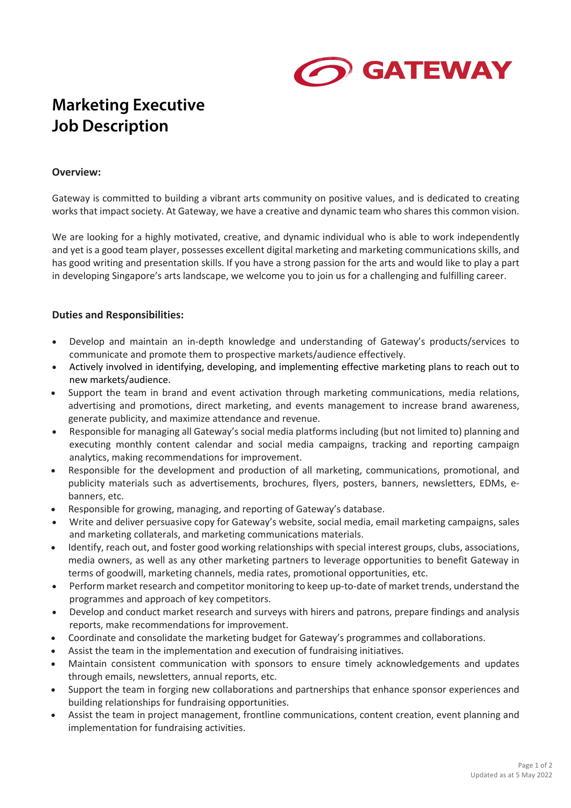

# **Marketing Executive Job Description**

#### **Overview:**

Gateway is committed to building a vibrant arts community on positive values, and is dedicated to creating works that impact society. At Gateway, we have a creative and dynamic team who shares this common vision.

We are looking for a highly motivated, creative, and dynamic individual who is able to work independently and yet is a good team player, possesses excellent digital marketing and marketing communications skills, and has good writing and presentation skills. If you have a strong passion for the arts and would like to play a part in developing Singapore's arts landscape, we welcome you to join us for a challenging and fulfilling career.

### **Duties and Responsibilities:**

- Develop and maintain an in-depth knowledge and understanding of Gateway's products/services to communicate and promote them to prospective markets/audience effectively.
- Actively involved in identifying, developing, and implementing effective marketing plans to reach out to new markets/audience.
- Support the team in brand and event activation through marketing communications, media relations, advertising and promotions, direct marketing, and events management to increase brand awareness, generate publicity, and maximize attendance and revenue.
- Responsible for managing all Gateway's social media platforms including (but not limited to) planning and executing monthly content calendar and social media campaigns, tracking and reporting campaign analytics, making recommendations for improvement.
- Responsible for the development and production of all marketing, communications, promotional, and publicity materials such as advertisements, brochures, flyers, posters, banners, newsletters, EDMs, ebanners, etc.
- Responsible for growing, managing, and reporting of Gateway's database.
- Write and deliver persuasive copy for Gateway's website, social media, email marketing campaigns, sales and marketing collaterals, and marketing communications materials.
- Identify, reach out, and foster good working relationships with special interest groups, clubs, associations, media owners, as well as any other marketing partners to leverage opportunities to benefit Gateway in terms of goodwill, marketing channels, media rates, promotional opportunities, etc.
- Perform market research and competitor monitoring to keep up-to-date of market trends, understand the programmes and approach of key competitors.
- Develop and conduct market research and surveys with hirers and patrons, prepare findings and analysis reports, make recommendations for improvement.
- Coordinate and consolidate the marketing budget for Gateway's programmes and collaborations.
- Assist the team in the implementation and execution of fundraising initiatives.
- Maintain consistent communication with sponsors to ensure timely acknowledgements and updates through emails, newsletters, annual reports, etc.
- Support the team in forging new collaborations and partnerships that enhance sponsor experiences and building relationships for fundraising opportunities.
- Assist the team in project management, frontline communications, content creation, event planning and implementation for fundraising activities.